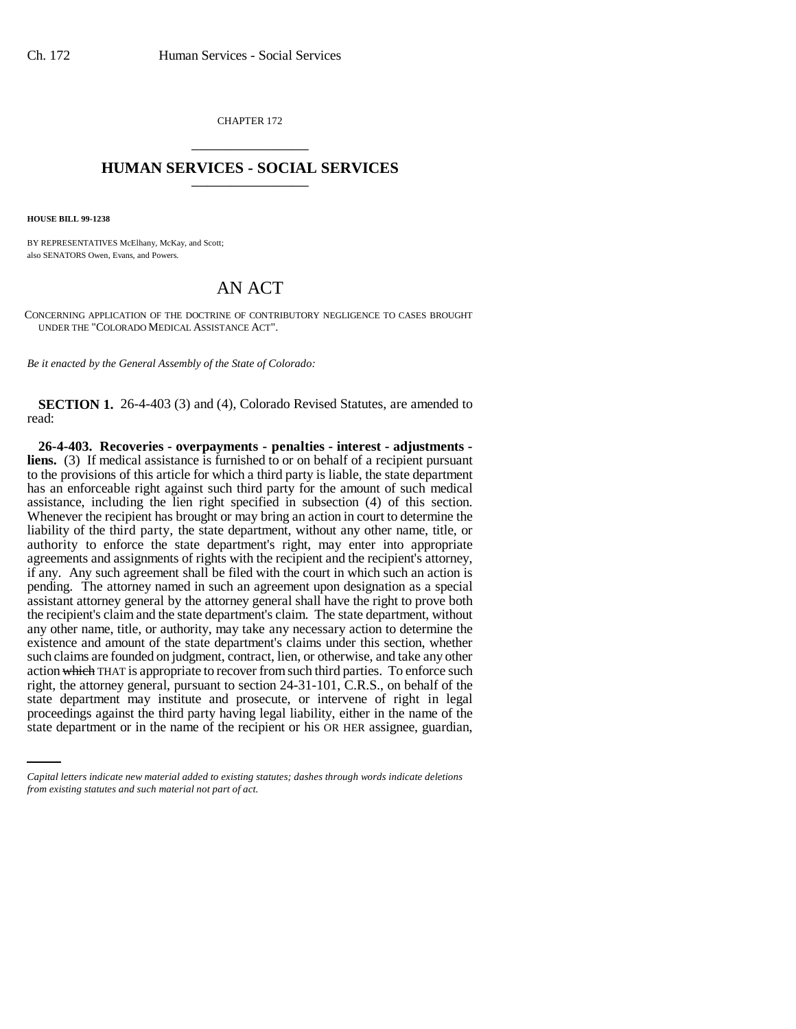CHAPTER 172 \_\_\_\_\_\_\_\_\_\_\_\_\_\_\_

## **HUMAN SERVICES - SOCIAL SERVICES** \_\_\_\_\_\_\_\_\_\_\_\_\_\_\_

**HOUSE BILL 99-1238**

BY REPRESENTATIVES McElhany, McKay, and Scott; also SENATORS Owen, Evans, and Powers.

## AN ACT

CONCERNING APPLICATION OF THE DOCTRINE OF CONTRIBUTORY NEGLIGENCE TO CASES BROUGHT UNDER THE "COLORADO MEDICAL ASSISTANCE ACT".

*Be it enacted by the General Assembly of the State of Colorado:*

**SECTION 1.** 26-4-403 (3) and (4), Colorado Revised Statutes, are amended to read:

state department may institute and prosecute, or intervene of right in legal **26-4-403. Recoveries - overpayments - penalties - interest - adjustments liens.** (3) If medical assistance is furnished to or on behalf of a recipient pursuant to the provisions of this article for which a third party is liable, the state department has an enforceable right against such third party for the amount of such medical assistance, including the lien right specified in subsection (4) of this section. Whenever the recipient has brought or may bring an action in court to determine the liability of the third party, the state department, without any other name, title, or authority to enforce the state department's right, may enter into appropriate agreements and assignments of rights with the recipient and the recipient's attorney, if any. Any such agreement shall be filed with the court in which such an action is pending. The attorney named in such an agreement upon designation as a special assistant attorney general by the attorney general shall have the right to prove both the recipient's claim and the state department's claim. The state department, without any other name, title, or authority, may take any necessary action to determine the existence and amount of the state department's claims under this section, whether such claims are founded on judgment, contract, lien, or otherwise, and take any other action which THAT is appropriate to recover from such third parties. To enforce such right, the attorney general, pursuant to section 24-31-101, C.R.S., on behalf of the proceedings against the third party having legal liability, either in the name of the state department or in the name of the recipient or his OR HER assignee, guardian,

*Capital letters indicate new material added to existing statutes; dashes through words indicate deletions from existing statutes and such material not part of act.*